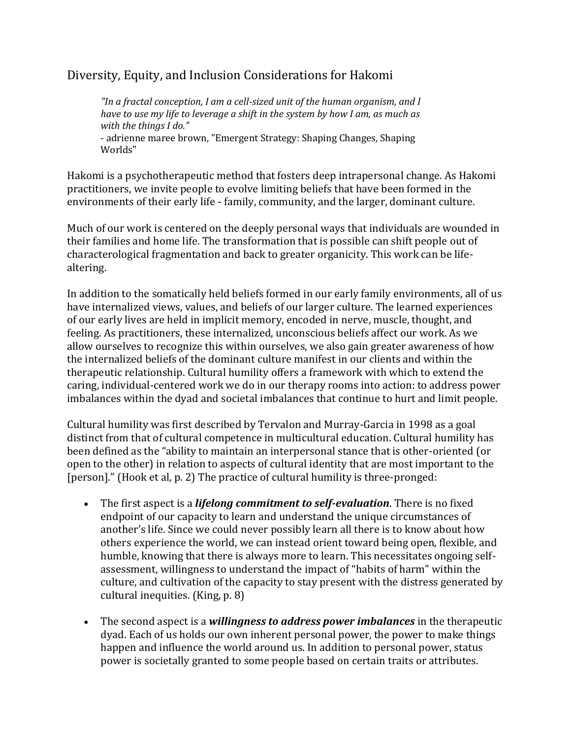# Diversity, Equity, and Inclusion Considerations for Hakomi

*"In a fractal conception, I am a cell-sized unit of the human organism, and I have to use my life to leverage a shift in the system by how I am, as much as with the things I do."*

- adrienne maree brown, "Emergent Strategy: Shaping Changes, Shaping Worlds"

Hakomi is a psychotherapeutic method that fosters deep intrapersonal change. As Hakomi practitioners, we invite people to evolve limiting beliefs that have been formed in the environments of their early life - family, community, and the larger, dominant culture.

Much of our work is centered on the deeply personal ways that individuals are wounded in their families and home life. The transformation that is possible can shift people out of characterological fragmentation and back to greater organicity. This work can be lifealtering.

In addition to the somatically held beliefs formed in our early family environments, all of us have internalized views, values, and beliefs of our larger culture. The learned experiences of our early lives are held in implicit memory, encoded in nerve, muscle, thought, and feeling. As practitioners, these internalized, unconscious beliefs affect our work. As we allow ourselves to recognize this within ourselves, we also gain greater awareness of how the internalized beliefs of the dominant culture manifest in our clients and within the therapeutic relationship. Cultural humility offers a framework with which to extend the caring, individual-centered work we do in our therapy rooms into action: to address power imbalances within the dyad and societal imbalances that continue to hurt and limit people.

Cultural humility was first described by Tervalon and Murray-Garcia in 1998 as a goal distinct from that of cultural competence in multicultural education. Cultural humility has been defined as the "ability to maintain an interpersonal stance that is other-oriented (or open to the other) in relation to aspects of cultural identity that are most important to the [person]." (Hook et al, p. 2) The practice of cultural humility is three-pronged:

- x The first aspect is a *lifelong commitment to self-evaluation*. There is no fixed endpoint of our capacity to learn and understand the unique circumstances of another's life. Since we could never possibly learn all there is to know about how others experience the world, we can instead orient toward being open, flexible, and humble, knowing that there is always more to learn. This necessitates ongoing selfassessment, willingness to understand the impact of "habits of harm" within the culture, and cultivation of the capacity to stay present with the distress generated by cultural inequities. (King, p. 8)
- x The second aspect is a *willingness to address power imbalances* in the therapeutic dyad. Each of us holds our own inherent personal power, the power to make things happen and influence the world around us. In addition to personal power, status power is societally granted to some people based on certain traits or attributes.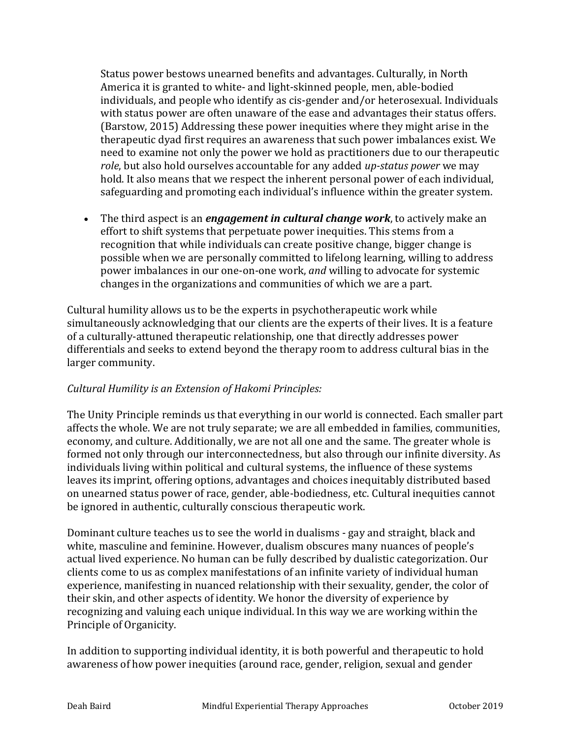Status power bestows unearned benefits and advantages. Culturally, in North America it is granted to white- and light-skinned people, men, able-bodied individuals, and people who identify as cis-gender and/or heterosexual. Individuals with status power are often unaware of the ease and advantages their status offers. (Barstow, 2015) Addressing these power inequities where they might arise in the therapeutic dyad first requires an awareness that such power imbalances exist. We need to examine not only the power we hold as practitioners due to our therapeutic *role*, but also hold ourselves accountable for any added *up-status power* we may hold. It also means that we respect the inherent personal power of each individual, safeguarding and promoting each individual's influence within the greater system.

x The third aspect is an *engagement in cultural change work*, to actively make an effort to shift systems that perpetuate power inequities. This stems from a recognition that while individuals can create positive change, bigger change is possible when we are personally committed to lifelong learning, willing to address power imbalances in our one-on-one work, *and* willing to advocate for systemic changes in the organizations and communities of which we are a part.

Cultural humility allows us to be the experts in psychotherapeutic work while simultaneously acknowledging that our clients are the experts of their lives. It is a feature of a culturally-attuned therapeutic relationship, one that directly addresses power differentials and seeks to extend beyond the therapy room to address cultural bias in the larger community.

## *Cultural Humility is an Extension of Hakomi Principles:*

The Unity Principle reminds us that everything in our world is connected. Each smaller part affects the whole. We are not truly separate; we are all embedded in families, communities, economy, and culture. Additionally, we are not all one and the same. The greater whole is formed not only through our interconnectedness, but also through our infinite diversity. As individuals living within political and cultural systems, the influence of these systems leaves its imprint, offering options, advantages and choices inequitably distributed based on unearned status power of race, gender, able-bodiedness, etc. Cultural inequities cannot be ignored in authentic, culturally conscious therapeutic work.

Dominant culture teaches us to see the world in dualisms - gay and straight, black and white, masculine and feminine. However, dualism obscures many nuances of people's actual lived experience. No human can be fully described by dualistic categorization. Our clients come to us as complex manifestations of an infinite variety of individual human experience, manifesting in nuanced relationship with their sexuality, gender, the color of their skin, and other aspects of identity. We honor the diversity of experience by recognizing and valuing each unique individual. In this way we are working within the Principle of Organicity.

In addition to supporting individual identity, it is both powerful and therapeutic to hold awareness of how power inequities (around race, gender, religion, sexual and gender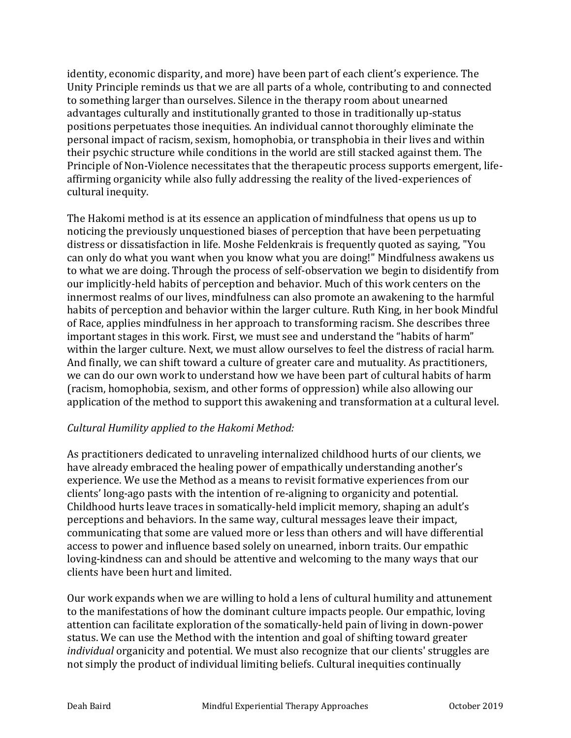identity, economic disparity, and more) have been part of each client's experience. The Unity Principle reminds us that we are all parts of a whole, contributing to and connected to something larger than ourselves. Silence in the therapy room about unearned advantages culturally and institutionally granted to those in traditionally up-status positions perpetuates those inequities. An individual cannot thoroughly eliminate the personal impact of racism, sexism, homophobia, or transphobia in their lives and within their psychic structure while conditions in the world are still stacked against them. The Principle of Non-Violence necessitates that the therapeutic process supports emergent, lifeaffirming organicity while also fully addressing the reality of the lived-experiences of cultural inequity.

The Hakomi method is at its essence an application of mindfulness that opens us up to noticing the previously unquestioned biases of perception that have been perpetuating distress or dissatisfaction in life. Moshe Feldenkrais is frequently quoted as saying, "You can only do what you want when you know what you are doing!" Mindfulness awakens us to what we are doing. Through the process of self-observation we begin to disidentify from our implicitly-held habits of perception and behavior. Much of this work centers on the innermost realms of our lives, mindfulness can also promote an awakening to the harmful habits of perception and behavior within the larger culture. Ruth King, in her book Mindful of Race, applies mindfulness in her approach to transforming racism. She describes three important stages in this work. First, we must see and understand the "habits of harm" within the larger culture. Next, we must allow ourselves to feel the distress of racial harm. And finally, we can shift toward a culture of greater care and mutuality. As practitioners, we can do our own work to understand how we have been part of cultural habits of harm (racism, homophobia, sexism, and other forms of oppression) while also allowing our application of the method to support this awakening and transformation at a cultural level.

## *Cultural Humility applied to the Hakomi Method:*

As practitioners dedicated to unraveling internalized childhood hurts of our clients, we have already embraced the healing power of empathically understanding another's experience. We use the Method as a means to revisit formative experiences from our clients' long-ago pasts with the intention of re-aligning to organicity and potential. Childhood hurts leave traces in somatically-held implicit memory, shaping an adult's perceptions and behaviors. In the same way, cultural messages leave their impact, communicating that some are valued more or less than others and will have differential access to power and influence based solely on unearned, inborn traits. Our empathic loving-kindness can and should be attentive and welcoming to the many ways that our clients have been hurt and limited.

Our work expands when we are willing to hold a lens of cultural humility and attunement to the manifestations of how the dominant culture impacts people. Our empathic, loving attention can facilitate exploration of the somatically-held pain of living in down-power status. We can use the Method with the intention and goal of shifting toward greater *individual* organicity and potential. We must also recognize that our clients' struggles are not simply the product of individual limiting beliefs. Cultural inequities continually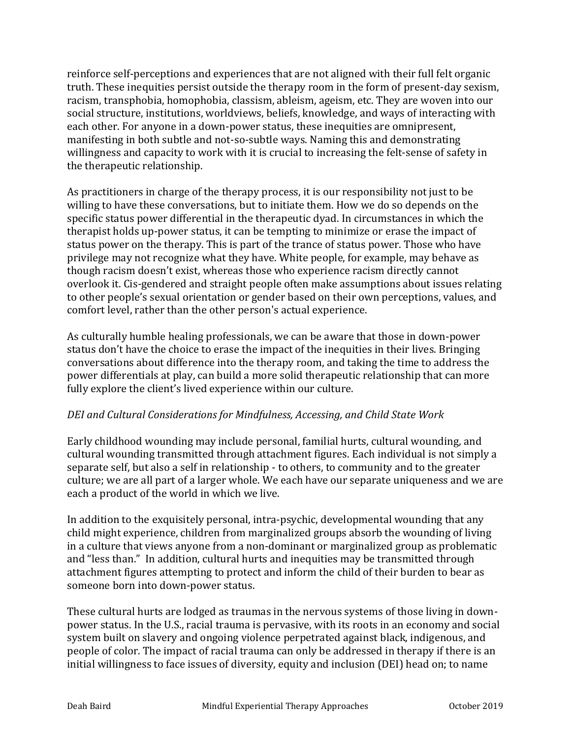reinforce self-perceptions and experiences that are not aligned with their full felt organic truth. These inequities persist outside the therapy room in the form of present-day sexism, racism, transphobia, homophobia, classism, ableism, ageism, etc. They are woven into our social structure, institutions, worldviews, beliefs, knowledge, and ways of interacting with each other. For anyone in a down-power status, these inequities are omnipresent, manifesting in both subtle and not-so-subtle ways. Naming this and demonstrating willingness and capacity to work with it is crucial to increasing the felt-sense of safety in the therapeutic relationship.

As practitioners in charge of the therapy process, it is our responsibility not just to be willing to have these conversations, but to initiate them. How we do so depends on the specific status power differential in the therapeutic dyad. In circumstances in which the therapist holds up-power status, it can be tempting to minimize or erase the impact of status power on the therapy. This is part of the trance of status power. Those who have privilege may not recognize what they have. White people, for example, may behave as though racism doesn't exist, whereas those who experience racism directly cannot overlook it. Cis-gendered and straight people often make assumptions about issues relating to other people's sexual orientation or gender based on their own perceptions, values, and comfort level, rather than the other person's actual experience.

As culturally humble healing professionals, we can be aware that those in down-power status don't have the choice to erase the impact of the inequities in their lives. Bringing conversations about difference into the therapy room, and taking the time to address the power differentials at play, can build a more solid therapeutic relationship that can more fully explore the client's lived experience within our culture.

## *DEI and Cultural Considerations for Mindfulness, Accessing, and Child State Work*

Early childhood wounding may include personal, familial hurts, cultural wounding, and cultural wounding transmitted through attachment figures. Each individual is not simply a separate self, but also a self in relationship - to others, to community and to the greater culture; we are all part of a larger whole. We each have our separate uniqueness and we are each a product of the world in which we live.

In addition to the exquisitely personal, intra-psychic, developmental wounding that any child might experience, children from marginalized groups absorb the wounding of living in a culture that views anyone from a non-dominant or marginalized group as problematic and "less than." In addition, cultural hurts and inequities may be transmitted through attachment figures attempting to protect and inform the child of their burden to bear as someone born into down-power status.

These cultural hurts are lodged as traumas in the nervous systems of those living in downpower status. In the U.S., racial trauma is pervasive, with its roots in an economy and social system built on slavery and ongoing violence perpetrated against black, indigenous, and people of color. The impact of racial trauma can only be addressed in therapy if there is an initial willingness to face issues of diversity, equity and inclusion (DEI) head on; to name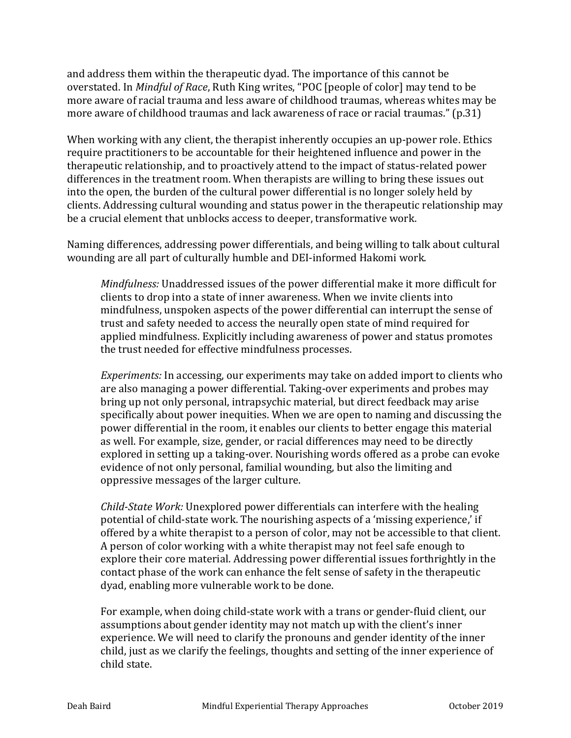and address them within the therapeutic dyad. The importance of this cannot be overstated. In *Mindful of Race*, Ruth King writes, "POC [people of color] may tend to be more aware of racial trauma and less aware of childhood traumas, whereas whites may be more aware of childhood traumas and lack awareness of race or racial traumas." (p.31)

When working with any client, the therapist inherently occupies an up-power role. Ethics require practitioners to be accountable for their heightened influence and power in the therapeutic relationship, and to proactively attend to the impact of status-related power differences in the treatment room. When therapists are willing to bring these issues out into the open, the burden of the cultural power differential is no longer solely held by clients. Addressing cultural wounding and status power in the therapeutic relationship may be a crucial element that unblocks access to deeper, transformative work.

Naming differences, addressing power differentials, and being willing to talk about cultural wounding are all part of culturally humble and DEI-informed Hakomi work.

*Mindfulness:* Unaddressed issues of the power differential make it more difficult for clients to drop into a state of inner awareness. When we invite clients into mindfulness, unspoken aspects of the power differential can interrupt the sense of trust and safety needed to access the neurally open state of mind required for applied mindfulness. Explicitly including awareness of power and status promotes the trust needed for effective mindfulness processes.

*Experiments:* In accessing, our experiments may take on added import to clients who are also managing a power differential. Taking-over experiments and probes may bring up not only personal, intrapsychic material, but direct feedback may arise specifically about power inequities. When we are open to naming and discussing the power differential in the room, it enables our clients to better engage this material as well. For example, size, gender, or racial differences may need to be directly explored in setting up a taking-over. Nourishing words offered as a probe can evoke evidence of not only personal, familial wounding, but also the limiting and oppressive messages of the larger culture.

*Child-State Work:* Unexplored power differentials can interfere with the healing potential of child-state work. The nourishing aspects of a 'missing experience,' if offered by a white therapist to a person of color, may not be accessible to that client. A person of color working with a white therapist may not feel safe enough to explore their core material. Addressing power differential issues forthrightly in the contact phase of the work can enhance the felt sense of safety in the therapeutic dyad, enabling more vulnerable work to be done.

For example, when doing child-state work with a trans or gender-fluid client, our assumptions about gender identity may not match up with the client's inner experience. We will need to clarify the pronouns and gender identity of the inner child, just as we clarify the feelings, thoughts and setting of the inner experience of child state.